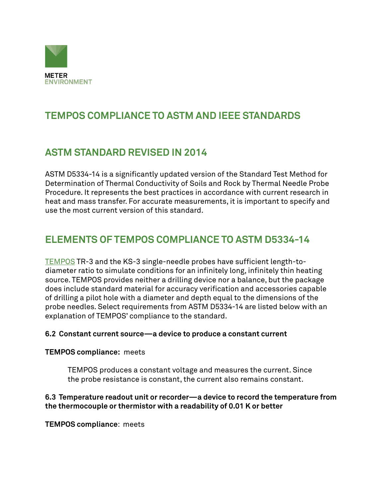

# **TEMPOS COMPLIANCE TO ASTM AND IEEE STANDARDS**

# **ASTM STANDARD REVISED IN 2014**

ASTM D5334-14 is a significantly updated version of the Standard Test Method for Determination of Thermal Conductivity of Soils and Rock by Thermal Needle Probe Procedure. It represents the best practices in accordance with current research in heat and mass transfer. For accurate measurements, it is important to specify and use the most current version of this standard.

# **ELEMENTS OF TEMPOS COMPLIANCE TO ASTM D5334-14**

[TEMPOS](https://www.metergroup.com/meter_products/tempos/) TR-3 and the KS-3 single-needle probes have sufficient length-todiameter ratio to simulate conditions for an infinitely long, infinitely thin heating source. TEMPOS provides neither a drilling device nor a balance, but the package does include standard material for accuracy verification and accessories capable of drilling a pilot hole with a diameter and depth equal to the dimensions of the probe needles. Select requirements from ASTM D5334-14 are listed below with an explanation of TEMPOS' compliance to the standard.

### **6.2 Constant current source—a device to produce a constant current**

### **TEMPOS compliance:** meets

TEMPOS produces a constant voltage and measures the current. Since the probe resistance is constant, the current also remains constant.

### **6.3 Temperature readout unit or recorder—a device to record the temperature from the thermocouple or thermistor with a readability of 0.01 K or better**

**TEMPOS compliance**: meets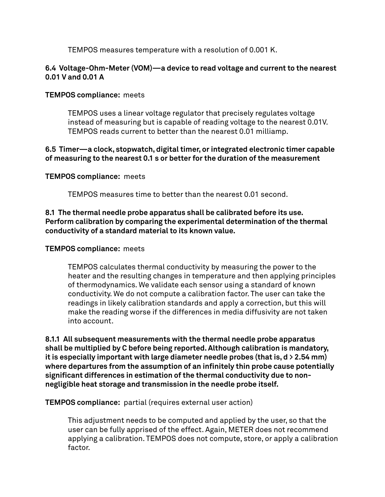TEMPOS measures temperature with a resolution of 0.001 K.

### **6.4 Voltage-Ohm-Meter (VOM)—a device to read voltage and current to the nearest 0.01 V and 0.01 A**

### **TEMPOS compliance:** meets

TEMPOS uses a linear voltage regulator that precisely regulates voltage instead of measuring but is capable of reading voltage to the nearest 0.01V. TEMPOS reads current to better than the nearest 0.01 milliamp.

### **6.5 Timer—a clock, stopwatch, digital timer, or integrated electronic timer capable of measuring to the nearest 0.1 s or better for the duration of the measurement**

### **TEMPOS compliance:** meets

TEMPOS measures time to better than the nearest 0.01 second.

### **8.1 The thermal needle probe apparatus shall be calibrated before its use. Perform calibration by comparing the experimental determination of the thermal conductivity of a standard material to its known value.**

### **TEMPOS compliance:** meets

TEMPOS calculates thermal conductivity by measuring the power to the heater and the resulting changes in temperature and then applying principles of thermodynamics. We validate each sensor using a standard of known conductivity. We do not compute a calibration factor. The user can take the readings in likely calibration standards and apply a correction, but this will make the reading worse if the differences in media diffusivity are not taken into account.

**8.1.1 All subsequent measurements with the thermal needle probe apparatus shall be multiplied by C before being reported. Although calibration is mandatory, it is especially important with large diameter needle probes (that is, d > 2.54 mm) where departures from the assumption of an infinitely thin probe cause potentially significant differences in estimation of the thermal conductivity due to nonnegligible heat storage and transmission in the needle probe itself.**

**TEMPOS compliance:** partial (requires external user action)

This adjustment needs to be computed and applied by the user, so that the user can be fully apprised of the effect. Again, METER does not recommend applying a calibration. TEMPOS does not compute, store, or apply a calibration factor.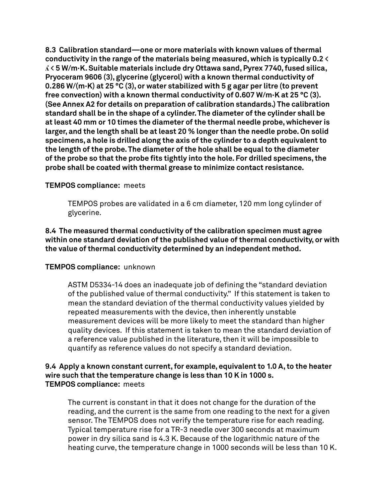**8.3 Calibration standard—one or more materials with known values of thermal conductivity in the range of the materials being measured, which is typically 0.2 < ʎ < 5 W/m·K. Suitable materials include dry Ottawa sand, Pyrex 7740, fused silica, Pryoceram 9606 (3), glycerine (glycerol) with a known thermal conductivity of 0.286 W/(m·K) at 25 °C (3), or water stabilized with 5 g agar per litre (to prevent free convection) with a known thermal conductivity of 0.607 W/m·K at 25 °C (3). (See Annex A2 for details on preparation of calibration standards.) The calibration standard shall be in the shape of a cylinder. The diameter of the cylinder shall be at least 40 mm or 10 times the diameter of the thermal needle probe, whichever is larger, and the length shall be at least 20 % longer than the needle probe. On solid specimens, a hole is drilled along the axis of the cylinder to a depth equivalent to the length of the probe. The diameter of the hole shall be equal to the diameter of the probe so that the probe fits tightly into the hole. For drilled specimens, the probe shall be coated with thermal grease to minimize contact resistance.**

### **TEMPOS compliance:** meets

TEMPOS probes are validated in a 6 cm diameter, 120 mm long cylinder of glycerine.

**8.4 The measured thermal conductivity of the calibration specimen must agree within one standard deviation of the published value of thermal conductivity, or with the value of thermal conductivity determined by an independent method.**

### **TEMPOS compliance:** unknown

ASTM D5334-14 does an inadequate job of defining the "standard deviation of the published value of thermal conductivity." If this statement is taken to mean the standard deviation of the thermal conductivity values yielded by repeated measurements with the device, then inherently unstable measurement devices will be more likely to meet the standard than higher quality devices. If this statement is taken to mean the standard deviation of a reference value published in the literature, then it will be impossible to quantify as reference values do not specify a standard deviation.

### **9.4 Apply a known constant current, for example, equivalent to 1.0 A, to the heater wire such that the temperature change is less than 10 K in 1000 s. TEMPOS compliance:** meets

The current is constant in that it does not change for the duration of the reading, and the current is the same from one reading to the next for a given sensor. The TEMPOS does not verify the temperature rise for each reading. Typical temperature rise for a TR-3 needle over 300 seconds at maximum power in dry silica sand is 4.3 K. Because of the logarithmic nature of the heating curve, the temperature change in 1000 seconds will be less than 10 K.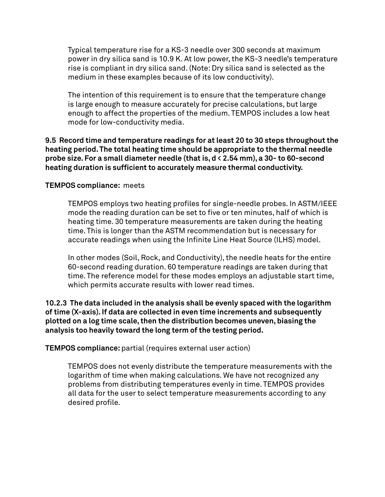Typical temperature rise for a KS-3 needle over 300 seconds at maximum power in dry silica sand is 10.9 K. At low power, the KS-3 needle's temperature rise is compliant in dry silica sand. (Note: Dry silica sand is selected as the medium in these examples because of its low conductivity).

The intention of this requirement is to ensure that the temperature change is large enough to measure accurately for precise calculations, but large enough to affect the properties of the medium. TEMPOS includes a low heat mode for low-conductivity media.

**9.5 Record time and temperature readings for at least 20 to 30 steps throughout the heating period. The total heating time should be appropriate to the thermal needle probe size. For a small diameter needle (that is, d < 2.54 mm), a 30- to 60-second heating duration is sufficient to accurately measure thermal conductivity.**

### **TEMPOS compliance:** meets

TEMPOS employs two heating profiles for single-needle probes. In ASTM/IEEE mode the reading duration can be set to five or ten minutes, half of which is heating time. 30 temperature measurements are taken during the heating time. This is longer than the ASTM recommendation but is necessary for accurate readings when using the Infinite Line Heat Source (ILHS) model.

In other modes (Soil, Rock, and Conductivity), the needle heats for the entire 60-second reading duration. 60 temperature readings are taken during that time. The reference model for these modes employs an adjustable start time, which permits accurate results with lower read times.

**10.2.3 The data included in the analysis shall be evenly spaced with the logarithm of time (X-axis). If data are collected in even time increments and subsequently plotted on a log time scale, then the distribution becomes uneven, biasing the analysis too heavily toward the long term of the testing period.**

**TEMPOS compliance:** partial (requires external user action)

TEMPOS does not evenly distribute the temperature measurements with the logarithm of time when making calculations. We have not recognized any problems from distributing temperatures evenly in time. TEMPOS provides all data for the user to select temperature measurements according to any desired profile.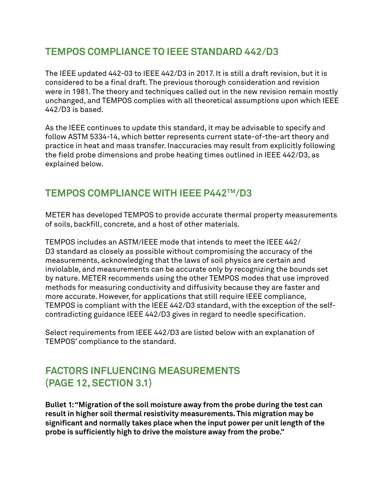### **TEMPOS COMPLIANCE TO IEEE STANDARD 442/D3**

The IEEE updated 442-03 to IEEE 442/D3 in 2017. It is still a draft revision, but it is considered to be a final draft. The previous thorough consideration and revision were in 1981. The theory and techniques called out in the new revision remain mostly unchanged, and TEMPOS complies with all theoretical assumptions upon which IEEE 442/D3 is based.

As the IEEE continues to update this standard, it may be advisable to specify and follow ASTM 5334-14, which better represents current state-of-the-art theory and practice in heat and mass transfer. Inaccuracies may result from explicitly following the field probe dimensions and probe heating times outlined in IEEE 442/D3, as explained below.

# **TEMPOS COMPLIANCE WITH IEEE P442TM/D3**

METER has developed TEMPOS to provide accurate thermal property measurements of soils, backfill, concrete, and a host of other materials.

TEMPOS includes an ASTM/IEEE mode that intends to meet the IEEE 442/ D3 standard as closely as possible without compromising the accuracy of the measurements, acknowledging that the laws of soil physics are certain and inviolable, and measurements can be accurate only by recognizing the bounds set by nature. METER recommends using the other TEMPOS modes that use improved methods for measuring conductivity and diffusivity because they are faster and more accurate. However, for applications that still require IEEE compliance, TEMPOS is compliant with the IEEE 442/D3 standard, with the exception of the selfcontradicting guidance IEEE 442/D3 gives in regard to needle specification.

Select requirements from IEEE 442/D3 are listed below with an explanation of TEMPOS' compliance to the standard.

# **FACTORS INFLUENCING MEASUREMENTS (PAGE 12, SECTION 3.1)**

**Bullet 1: "Migration of the soil moisture away from the probe during the test can result in higher soil thermal resistivity measurements. This migration may be significant and normally takes place when the input power per unit length of the probe is sufficiently high to drive the moisture away from the probe."**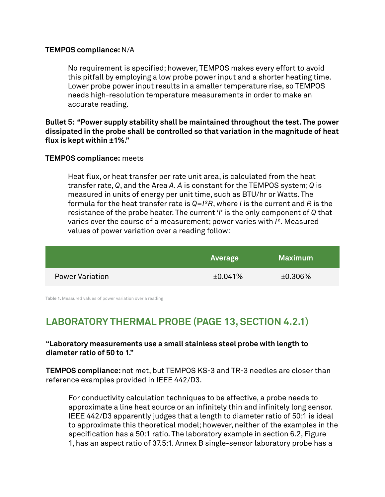#### **TEMPOS compliance:** N/A

No requirement is specified; however, TEMPOS makes every effort to avoid this pitfall by employing a low probe power input and a shorter heating time. Lower probe power input results in a smaller temperature rise, so TEMPOS needs high-resolution temperature measurements in order to make an accurate reading.

**Bullet 5: "Power supply stability shall be maintained throughout the test. The power dissipated in the probe shall be controlled so that variation in the magnitude of heat flux is kept within ±1%."**

### **TEMPOS compliance:** meets

Heat flux, or heat transfer per rate unit area, is calculated from the heat transfer rate, *Q*, and the Area *A. A* is constant for the TEMPOS system; *Q* is measured in units of energy per unit time, such as BTU/hr or Watts. The formula for the heat transfer rate is *Q=I²R*, where *I* is the current and *R* is the resistance of the probe heater. The current '*I*' is the only component of *Q* that varies over the course of a measurement; power varies with *I²*. Measured values of power variation over a reading follow:

|                        | <b>Average</b> | <b>Maximum</b> |  |
|------------------------|----------------|----------------|--|
| <b>Power Variation</b> | ±0.041%        | $±0.306\%$     |  |

**Table 1.** Measured values of power variation over a reading

# **LABORATORY THERMAL PROBE (PAGE 13, SECTION 4.2.1)**

### **"Laboratory measurements use a small stainless steel probe with length to diameter ratio of 50 to 1."**

**TEMPOS compliance:** not met, but TEMPOS KS-3 and TR-3 needles are closer than reference examples provided in IEEE 442/D3.

For conductivity calculation techniques to be effective, a probe needs to approximate a line heat source or an infinitely thin and infinitely long sensor. IEEE 442/D3 apparently judges that a length to diameter ratio of 50:1 is ideal to approximate this theoretical model; however, neither of the examples in the specification has a 50:1 ratio. The laboratory example in section 6.2, Figure 1, has an aspect ratio of 37.5:1. Annex B single-sensor laboratory probe has a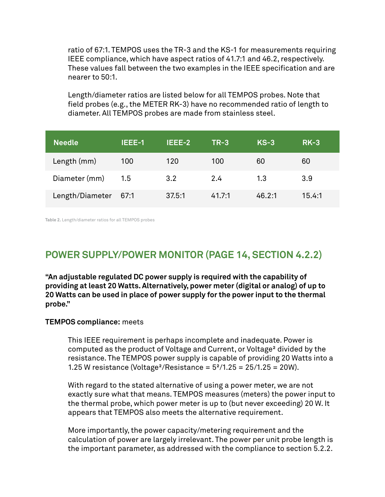ratio of 67:1. TEMPOS uses the TR-3 and the KS-1 for measurements requiring IEEE compliance, which have aspect ratios of 41.7:1 and 46.2, respectively. These values fall between the two examples in the IEEE specification and are nearer to 50:1.

Length/diameter ratios are listed below for all TEMPOS probes. Note that field probes (e.g., the METER RK-3) have no recommended ratio of length to diameter. All TEMPOS probes are made from stainless steel.

| <b>Needle</b>   | IEEE-1 | IEEE-2 | $TR-3$ | $KS-3$ | $RK-3$ |
|-----------------|--------|--------|--------|--------|--------|
| Length (mm)     | 100    | 120    | 100    | 60     | 60     |
| Diameter (mm)   | 1.5    | 3.2    | 2.4    | 1.3    | 3.9    |
| Length/Diameter | 67:1   | 37.5:1 | 41.7:1 | 46.2:1 | 15.4:1 |

**Table 2.** Length/diameter ratios for all TEMPOS probes

### **POWER SUPPLY/POWER MONITOR (PAGE 14, SECTION 4.2.2)**

**"An adjustable regulated DC power supply is required with the capability of providing at least 20 Watts. Alternatively, power meter (digital or analog) of up to 20 Watts can be used in place of power supply for the power input to the thermal probe."**

#### **TEMPOS compliance:** meets

This IEEE requirement is perhaps incomplete and inadequate. Power is computed as the product of Voltage and Current, or Voltage² divided by the resistance. The TEMPOS power supply is capable of providing 20 Watts into a 1.25 W resistance (Voltage<sup>2</sup>/Resistance =  $5^2/1.25 = 25/1.25 = 20W$ ).

With regard to the stated alternative of using a power meter, we are not exactly sure what that means. TEMPOS measures (meters) the power input to the thermal probe, which power meter is up to (but never exceeding) 20 W. It appears that TEMPOS also meets the alternative requirement.

More importantly, the power capacity/metering requirement and the calculation of power are largely irrelevant. The power per unit probe length is the important parameter, as addressed with the compliance to section 5.2.2.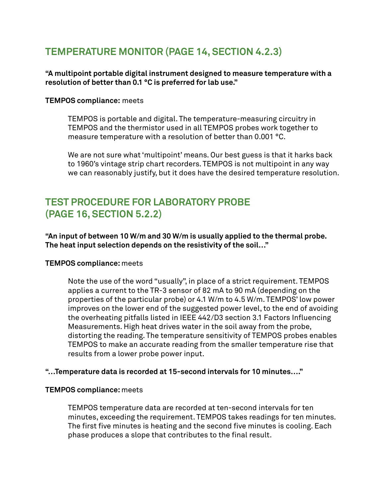### **TEMPERATURE MONITOR (PAGE 14, SECTION 4.2.3)**

### **"A multipoint portable digital instrument designed to measure temperature with a resolution of better than 0.1 °C is preferred for lab use."**

### **TEMPOS compliance:** meets

TEMPOS is portable and digital. The temperature-measuring circuitry in TEMPOS and the thermistor used in all TEMPOS probes work together to measure temperature with a resolution of better than 0.001 °C.

We are not sure what 'multipoint' means. Our best guess is that it harks back to 1960's vintage strip chart recorders. TEMPOS is not multipoint in any way we can reasonably justify, but it does have the desired temperature resolution.

### **TEST PROCEDURE FOR LABORATORY PROBE (PAGE 16, SECTION 5.2.2)**

**"An input of between 10 W/m and 30 W/m is usually applied to the thermal probe. The heat input selection depends on the resistivity of the soil…"**

### **TEMPOS compliance:** meets

Note the use of the word "usually", in place of a strict requirement. TEMPOS applies a current to the TR-3 sensor of 82 mA to 90 mA (depending on the properties of the particular probe) or 4.1 W/m to 4.5 W/m. TEMPOS' low power improves on the lower end of the suggested power level, to the end of avoiding the overheating pitfalls listed in IEEE 442/D3 section 3.1 Factors Influencing Measurements. High heat drives water in the soil away from the probe, distorting the reading. The temperature sensitivity of TEMPOS probes enables TEMPOS to make an accurate reading from the smaller temperature rise that results from a lower probe power input.

### **"…Temperature data is recorded at 15-second intervals for 10 minutes…."**

### **TEMPOS compliance:** meets

TEMPOS temperature data are recorded at ten-second intervals for ten minutes, exceeding the requirement. TEMPOS takes readings for ten minutes. The first five minutes is heating and the second five minutes is cooling. Each phase produces a slope that contributes to the final result.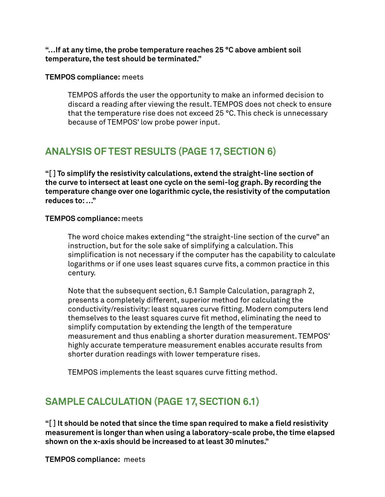**"…If at any time, the probe temperature reaches 25 °C above ambient soil temperature, the test should be terminated."**

**TEMPOS compliance:** meets

TEMPOS affords the user the opportunity to make an informed decision to discard a reading after viewing the result. TEMPOS does not check to ensure that the temperature rise does not exceed 25 °C. This check is unnecessary because of TEMPOS' low probe power input.

# **ANALYSIS OF TEST RESULTS (PAGE 17, SECTION 6)**

**"[ ] To simplify the resistivity calculations, extend the straight-line section of the curve to intersect at least one cycle on the semi-log graph. By recording the temperature change over one logarithmic cycle, the resistivity of the computation reduces to: …"**

### **TEMPOS compliance:** meets

The word choice makes extending "the straight-line section of the curve" an instruction, but for the sole sake of simplifying a calculation. This simplification is not necessary if the computer has the capability to calculate logarithms or if one uses least squares curve fits, a common practice in this century.

Note that the subsequent section, 6.1 Sample Calculation, paragraph 2, presents a completely different, superior method for calculating the conductivity/resistivity: least squares curve fitting. Modern computers lend themselves to the least squares curve fit method, eliminating the need to simplify computation by extending the length of the temperature measurement and thus enabling a shorter duration measurement. TEMPOS' highly accurate temperature measurement enables accurate results from shorter duration readings with lower temperature rises.

TEMPOS implements the least squares curve fitting method.

# **SAMPLE CALCULATION (PAGE 17, SECTION 6.1)**

**"[ ] It should be noted that since the time span required to make a field resistivity measurement is longer than when using a laboratory-scale probe, the time elapsed shown on the x-axis should be increased to at least 30 minutes."**

**TEMPOS compliance:** meets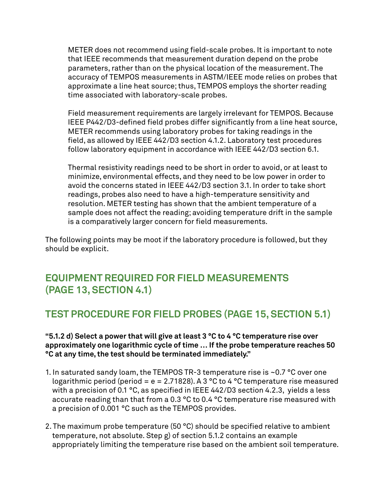METER does not recommend using field-scale probes. It is important to note that IEEE recommends that measurement duration depend on the probe parameters, rather than on the physical location of the measurement. The accuracy of TEMPOS measurements in ASTM/IEEE mode relies on probes that approximate a line heat source; thus, TEMPOS employs the shorter reading time associated with laboratory-scale probes.

Field measurement requirements are largely irrelevant for TEMPOS. Because IEEE P442/D3-defined field probes differ significantly from a line heat source, METER recommends using laboratory probes for taking readings in the field, as allowed by IEEE 442/D3 section 4.1.2. Laboratory test procedures follow laboratory equipment in accordance with IEEE 442/D3 section 6.1.

Thermal resistivity readings need to be short in order to avoid, or at least to minimize, environmental effects, and they need to be low power in order to avoid the concerns stated in IEEE 442/D3 section 3.1. In order to take short readings, probes also need to have a high-temperature sensitivity and resolution. METER testing has shown that the ambient temperature of a sample does not affect the reading; avoiding temperature drift in the sample is a comparatively larger concern for field measurements.

The following points may be moot if the laboratory procedure is followed, but they should be explicit.

### **EQUIPMENT REQUIRED FOR FIELD MEASUREMENTS (PAGE 13, SECTION 4.1)**

# **TEST PROCEDURE FOR FIELD PROBES (PAGE 15, SECTION 5.1)**

### **"5.1.2 d) Select a power that will give at least 3 °C to 4 °C temperature rise over approximately one logarithmic cycle of time … If the probe temperature reaches 50 °C at any time, the test should be terminated immediately."**

- 1. In saturated sandy loam, the TEMPOS TR-3 temperature rise is ~0.7 °C over one logarithmic period (period =  $e = 2.71828$ ). A 3 °C to 4 °C temperature rise measured with a precision of 0.1 °C, as specified in IEEE 442/D3 section 4.2.3, yields a less accurate reading than that from a 0.3 °C to 0.4 °C temperature rise measured with a precision of 0.001 °C such as the TEMPOS provides.
- 2. The maximum probe temperature (50 °C) should be specified relative to ambient temperature, not absolute. Step g) of section 5.1.2 contains an example appropriately limiting the temperature rise based on the ambient soil temperature.